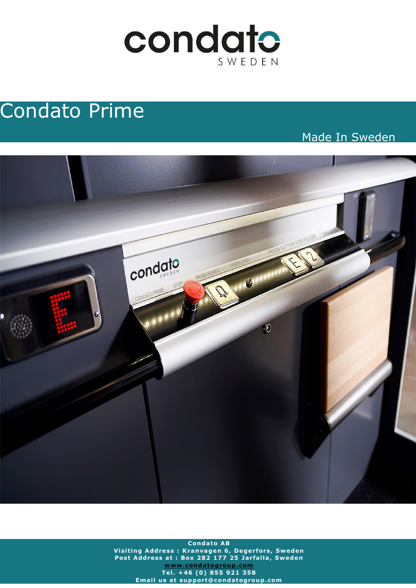

# Condato Prime

Made In Sweden



**Condato AB V is it ing Address : Kranvagen 6 , Degerfors, Sweden Post Address at : Box 282 177 25 Jarfalla, Sweden [www .condatogroup .com](http://www.condatogroup.com/) Te l . +46 (0 ) 855 921 358 Email us at support@condatogroup.com**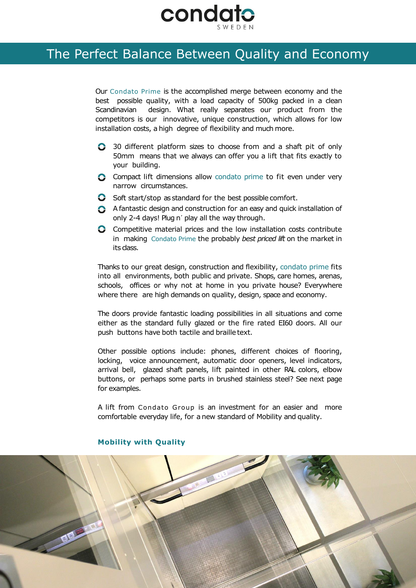

### The Perfect Balance Between Quality and Economy The Perfect Balance Between Quality and Economy

Our Condato Prime is the accomplished merge between economy and the best possible quality, with a load capacity of 500kg packed in a clean Scandinavian design. What really separates our product from the competitors is our innovative, unique construction, which allows for low installation costs, a high degree of flexibility and much more.

- 30 different platform sizes to choose from and a shaft pit of only 50mm means that we always can offer you a lift that fits exactly to your building.
- Compact lift dimensions allow condato prime to fit even under very narrow circumstances.
- $\bullet$  Soft start/stop as standard for the best possible comfort.
- A fantastic design and construction for an easy and quick installation of only 2-4 days! Plug n´ play all the way through.
- **C** Competitive material prices and the low installation costs contribute in making Condato Prime the probably *best priced lift* on the market in its class.

Thanks to our great design, construction and flexibility, condato prime fits into all environments, both public and private. Shops, care homes, arenas, schools, offices or why not at home in you private house? Everywhere where there are high demands on quality, design, space and economy.

The doors provide fantastic loading possibilities in all situations and come either as the standard fully glazed or the fire rated EI60 doors. All our push buttons have both tactile and braille text.

Other possible options include: phones, different choices of flooring, locking, voice announcement, automatic door openers, level indicators, arrival bell, glazed shaft panels, lift painted in other RAL colors, elbow buttons, or perhaps some parts in brushed stainless steel? See next page for examples.

A lift from Condato Group is an investment for an easier and more comfortable everyday life, for a new standard of Mobility and quality.



#### **Mobility with Quality**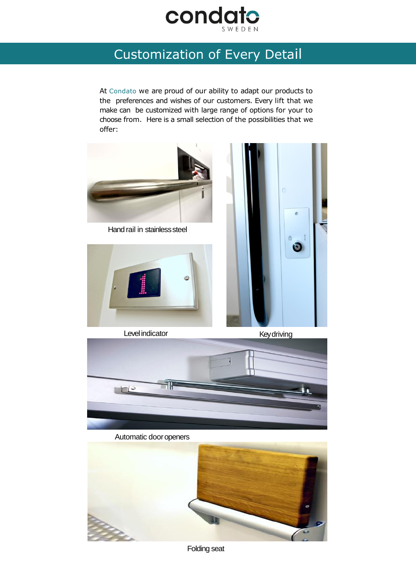

## Customization of Every Detail Customization of Every Detail

At Condato we are proud of our ability to adapt our products to the preferences and wishes of our customers. Every lift that we make can be customized with large range of options for your to choose from. Here is a small selection of the possibilities that we offer:



Folding seat